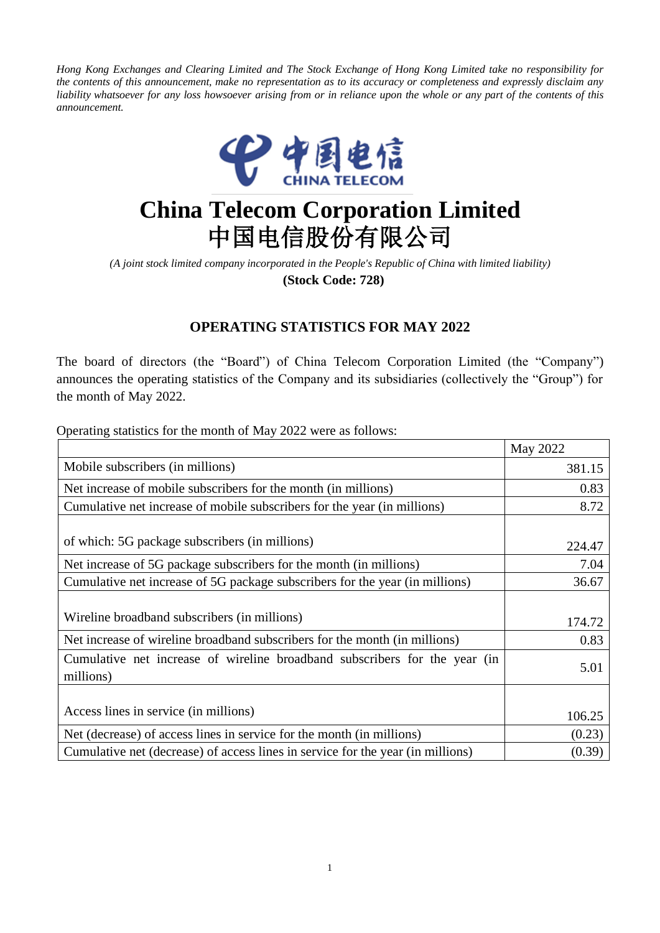Hong Kong Exchanges and Clearing Limited and The Stock Exchange of Hong Kong Limited take no responsibility for the contents of this announcement, make no representation as to its accuracy or completeness and expressly disclaim any liability whatsoever for any loss howsoever arising from or in reliance upon the whole or any part of the contents of this *announcement.*



## **China Telecom Corporation Limited** 中国电信股份有限公司

*(A joint stock limited company incorporated in the People's Republic of China with limited liability)* **(Stock Code: 728)**

## **OPERATING STATISTICS FOR MAY 2022**

The board of directors (the "Board") of China Telecom Corporation Limited (the "Company") announces the operating statistics of the Company and its subsidiaries (collectively the "Group") for the month of May 2022.

Operating statistics for the month of May 2022 were as follows:

|                                                                                         | May 2022 |
|-----------------------------------------------------------------------------------------|----------|
| Mobile subscribers (in millions)                                                        | 381.15   |
| Net increase of mobile subscribers for the month (in millions)                          | 0.83     |
| Cumulative net increase of mobile subscribers for the year (in millions)                | 8.72     |
| of which: 5G package subscribers (in millions)                                          | 224.47   |
| Net increase of 5G package subscribers for the month (in millions)                      | 7.04     |
| Cumulative net increase of 5G package subscribers for the year (in millions)            | 36.67    |
| Wireline broadband subscribers (in millions)                                            | 174.72   |
| Net increase of wireline broadband subscribers for the month (in millions)              | 0.83     |
| Cumulative net increase of wireline broadband subscribers for the year (in<br>millions) | 5.01     |
|                                                                                         |          |
| Access lines in service (in millions)                                                   | 106.25   |
| Net (decrease) of access lines in service for the month (in millions)                   | (0.23)   |
| Cumulative net (decrease) of access lines in service for the year (in millions)         | (0.39)   |